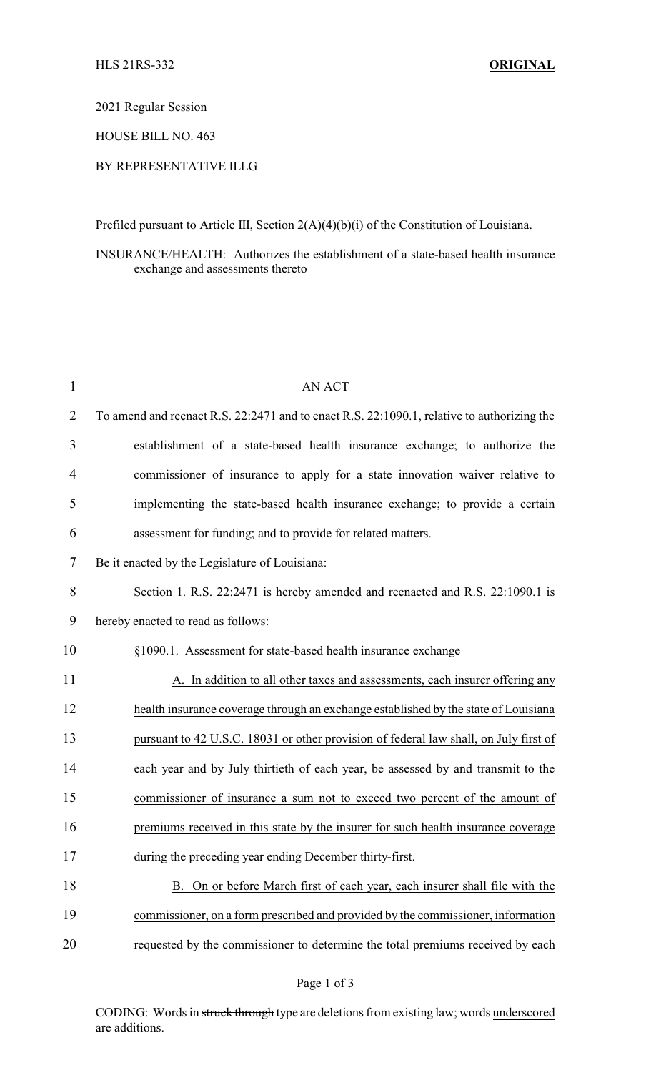2021 Regular Session

HOUSE BILL NO. 463

## BY REPRESENTATIVE ILLG

Prefiled pursuant to Article III, Section 2(A)(4)(b)(i) of the Constitution of Louisiana.

## INSURANCE/HEALTH: Authorizes the establishment of a state-based health insurance exchange and assessments thereto

| 1              | <b>AN ACT</b>                                                                              |
|----------------|--------------------------------------------------------------------------------------------|
| $\overline{2}$ | To amend and reenact R.S. 22:2471 and to enact R.S. 22:1090.1, relative to authorizing the |
| 3              | establishment of a state-based health insurance exchange; to authorize the                 |
| 4              | commissioner of insurance to apply for a state innovation waiver relative to               |
| 5              | implementing the state-based health insurance exchange; to provide a certain               |
| 6              | assessment for funding; and to provide for related matters.                                |
| 7              | Be it enacted by the Legislature of Louisiana:                                             |
| 8              | Section 1. R.S. 22:2471 is hereby amended and reenacted and R.S. 22:1090.1 is              |
| 9              | hereby enacted to read as follows:                                                         |
| 10             | §1090.1. Assessment for state-based health insurance exchange                              |
| 11             | A. In addition to all other taxes and assessments, each insurer offering any               |
| 12             | health insurance coverage through an exchange established by the state of Louisiana        |
| 13             | pursuant to 42 U.S.C. 18031 or other provision of federal law shall, on July first of      |
| 14             | each year and by July thirtieth of each year, be assessed by and transmit to the           |
| 15             | commissioner of insurance a sum not to exceed two percent of the amount of                 |
| 16             | premiums received in this state by the insurer for such health insurance coverage          |
| 17             | during the preceding year ending December thirty-first.                                    |
| 18             | B. On or before March first of each year, each insurer shall file with the                 |
| 19             | commissioner, on a form prescribed and provided by the commissioner, information           |
| 20             | requested by the commissioner to determine the total premiums received by each             |

CODING: Words in struck through type are deletions from existing law; words underscored are additions.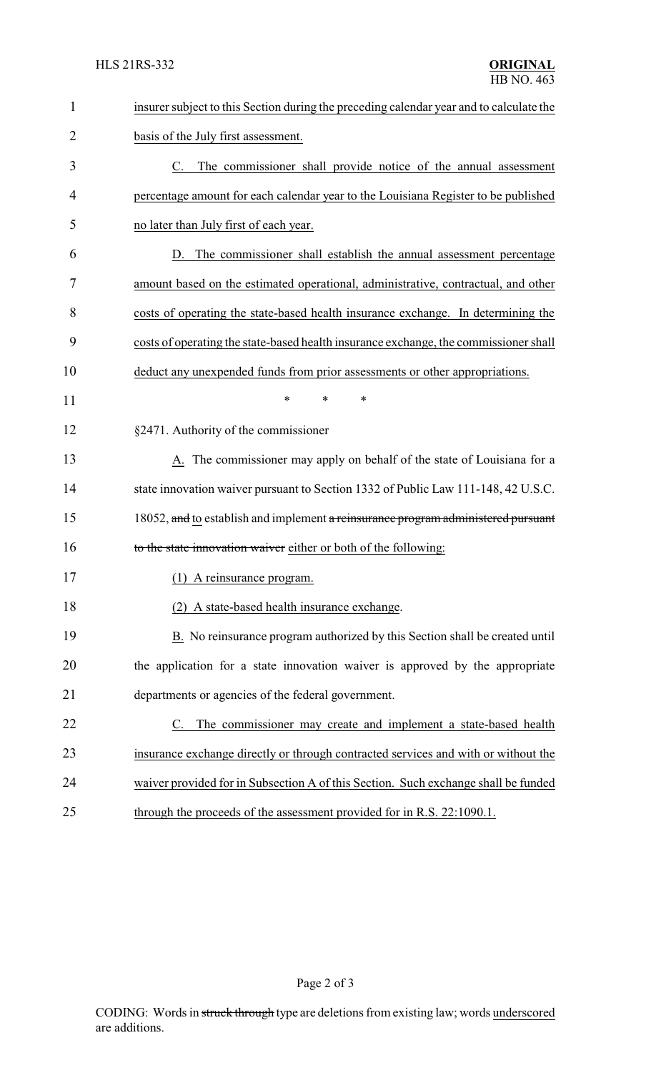| $\mathbf{1}$   | insurer subject to this Section during the preceding calendar year and to calculate the |
|----------------|-----------------------------------------------------------------------------------------|
| $\overline{2}$ | basis of the July first assessment.                                                     |
| 3              | The commissioner shall provide notice of the annual assessment<br>C.                    |
| 4              | percentage amount for each calendar year to the Louisiana Register to be published      |
| 5              | no later than July first of each year.                                                  |
| 6              | The commissioner shall establish the annual assessment percentage<br>D.                 |
| 7              | amount based on the estimated operational, administrative, contractual, and other       |
| 8              | costs of operating the state-based health insurance exchange. In determining the        |
| 9              | costs of operating the state-based health insurance exchange, the commissioner shall    |
| 10             | deduct any unexpended funds from prior assessments or other appropriations.             |
| 11             | *<br>*<br>*                                                                             |
| 12             | §2471. Authority of the commissioner                                                    |
| 13             | A. The commissioner may apply on behalf of the state of Louisiana for a                 |
| 14             | state innovation waiver pursuant to Section 1332 of Public Law 111-148, 42 U.S.C.       |
| 15             | 18052, and to establish and implement a reinsurance program administered pursuant       |
| 16             | to the state innovation waiver either or both of the following:                         |
| 17             | (1) A reinsurance program.                                                              |
| 18             | (2) A state-based health insurance exchange.                                            |
| 19             | B. No reinsurance program authorized by this Section shall be created until             |
| 20             | the application for a state innovation waiver is approved by the appropriate            |
| 21             | departments or agencies of the federal government.                                      |
| 22             | The commissioner may create and implement a state-based health<br>C.                    |
| 23             | insurance exchange directly or through contracted services and with or without the      |
| 24             | waiver provided for in Subsection A of this Section. Such exchange shall be funded      |
| 25             | through the proceeds of the assessment provided for in R.S. 22:1090.1.                  |